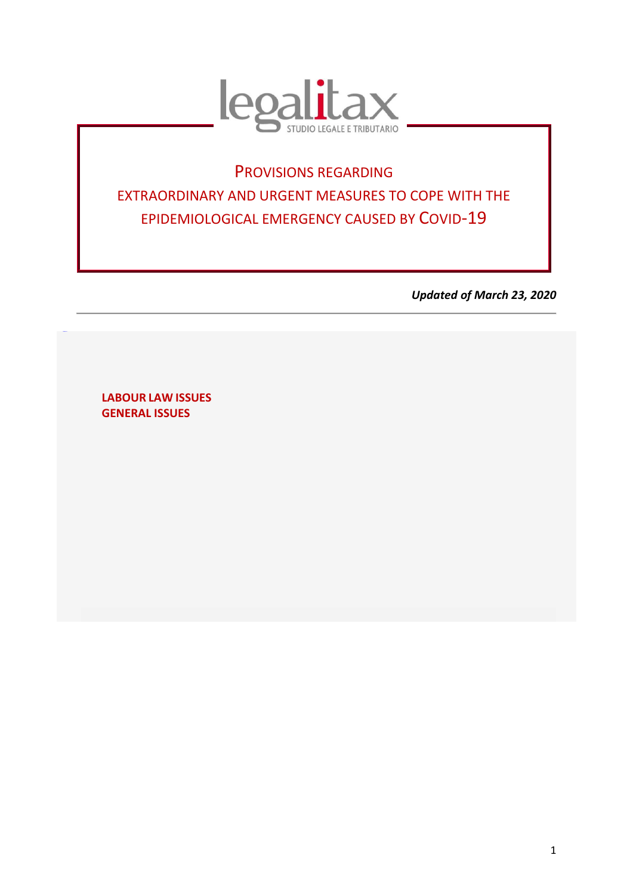

# PROVISIONS REGARDING EXTRAORDINARY AND URGENT MEASURES TO COPE WITH THE EPIDEMIOLOGICAL EMERGENCY CAUSED BY COVID-19

*Updated of March 23, 2020*

**LABOUR LAW ISSUES GENERAL ISSUES**

<span id="page-0-0"></span>[TORNAS](#page-0-0) **U**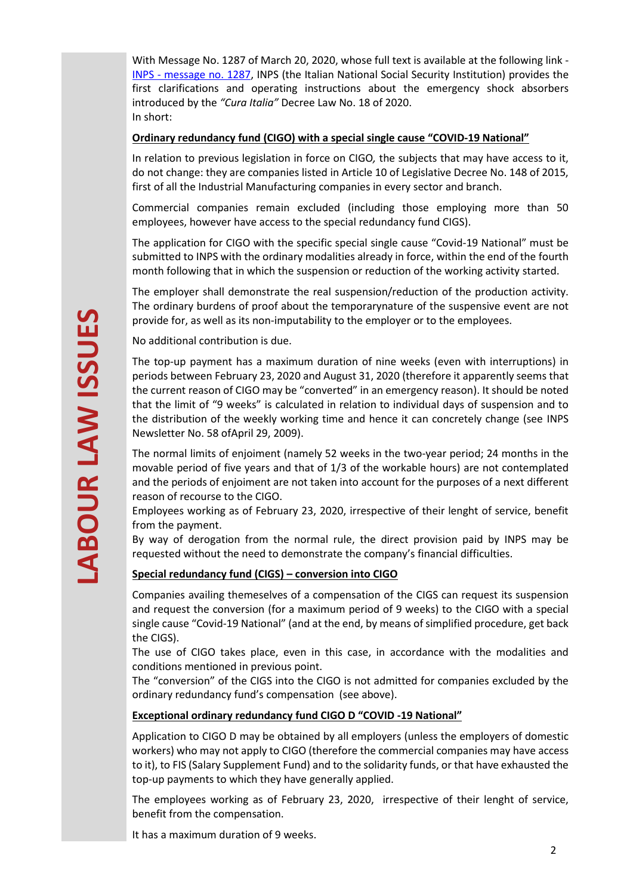With Message No. 1287 of March 20, 2020, whose full text is available at the following link - INPS - message [no. 1287,](https://www.inps.it/MessaggiZIP/Messaggio%20numero%201281%20del%2020-03-2020_Allegato%20n%201.pdf) INPS (the Italian National Social Security Institution) provides the first clarifications and operating instructions about the emergency shock absorbers introduced by the *"Cura Italia"* Decree Law No. 18 of 2020. In short:

#### **Ordinary redundancy fund (CIGO) with a special single cause "COVID-19 National"**

In relation to previous legislation in force on CIGO*,* the subjects that may have access to it, do not change: they are companies listed in Article 10 of Legislative Decree No. 148 of 2015, first of all the Industrial Manufacturing companies in every sector and branch.

Commercial companies remain excluded (including those employing more than 50 employees, however have access to the special redundancy fund CIGS).

The application for CIGO with the specific special single cause "Covid-19 National" must be submitted to INPS with the ordinary modalities already in force, within the end of the fourth month following that in which the suspension or reduction of the working activity started.

The employer shall demonstrate the real suspension/reduction of the production activity. The ordinary burdens of proof about the temporarynature of the suspensive event are not provide for, as well as its non-imputability to the employer or to the employees.

No additional contribution is due.

The top-up payment has a maximum duration of nine weeks (even with interruptions) in periods between February 23, 2020 and August 31, 2020 (therefore it apparently seems that the current reason of CIGO may be "converted" in an emergency reason). It should be noted that the limit of "9 weeks" is calculated in relation to individual days of suspension and to the distribution of the weekly working time and hence it can concretely change (see INPS Newsletter No. 58 ofApril 29, 2009).

The normal limits of enjoiment (namely 52 weeks in the two-year period; 24 months in the movable period of five years and that of 1/3 of the workable hours) are not contemplated and the periods of enjoiment are not taken into account for the purposes of a next different reason of recourse to the CIGO.

Employees working as of February 23, 2020, irrespective of their lenght of service, benefit from the payment.

By way of derogation from the normal rule, the direct provision paid by INPS may be requested without the need to demonstrate the company's financial difficulties.

# **Special redundancy fund (CIGS) – conversion into CIGO**

Companies availing themeselves of a compensation of the CIGS can request its suspension and request the conversion (for a maximum period of 9 weeks) to the CIGO with a special single cause "Covid-19 National" (and at the end, by means of simplified procedure, get back the CIGS).

The use of CIGO takes place, even in this case, in accordance with the modalities and conditions mentioned in previous point.

The "conversion" of the CIGS into the CIGO is not admitted for companies excluded by the ordinary redundancy fund's compensation (see above).

# **Exceptional ordinary redundancy fund CIGO D "COVID -19 National"**

Application to CIGO D may be obtained by all employers (unless the employers of domestic workers) who may not apply to CIGO (therefore the commercial companies may have access to it), to FIS (Salary Supplement Fund) and to the solidarity funds, or that have exhausted the top-up payments to which they have generally applied.

The employees working as of February 23, 2020, irrespective of their lenght of service, benefit from the compensation.

It has a maximum duration of 9 weeks.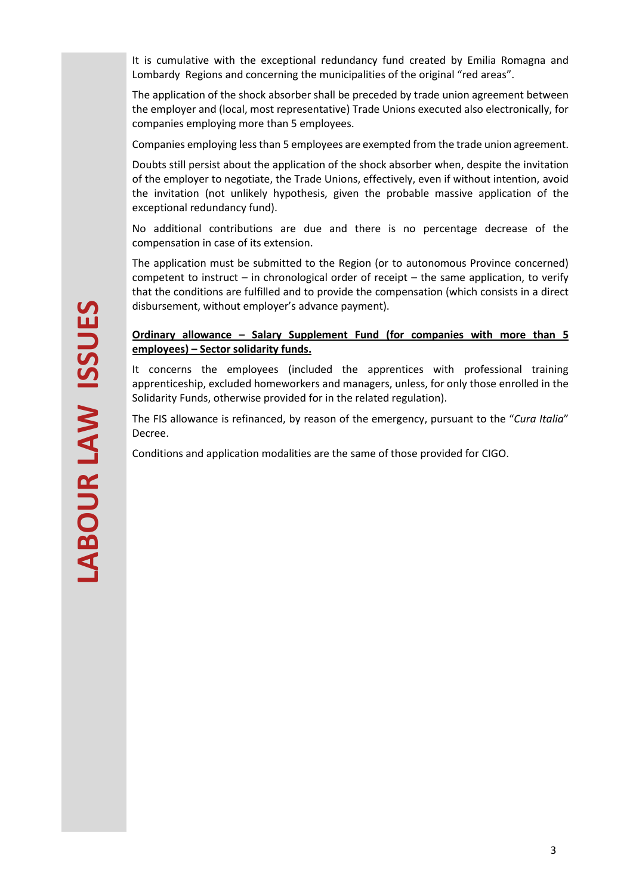It is cumulative with the exceptional redundancy fund created by Emilia Romagna and Lombardy Regions and concerning the municipalities of the original "red areas".

The application of the shock absorber shall be preceded by trade union agreement between the employer and (local, most representative) Trade Unions executed also electronically, for companies employing more than 5 employees.

Companies employing less than 5 employees are exempted from the trade union agreement.

Doubts still persist about the application of the shock absorber when, despite the invitation of the employer to negotiate, the Trade Unions, effectively, even if without intention, avoid the invitation (not unlikely hypothesis, given the probable massive application of the exceptional redundancy fund).

No additional contributions are due and there is no percentage decrease of the compensation in case of its extension.

The application must be submitted to the Region (or to autonomous Province concerned) competent to instruct – in chronological order of receipt – the same application, to verify that the conditions are fulfilled and to provide the compensation (which consists in a direct disbursement, without employer's advance payment).

## **Ordinary allowance – Salary Supplement Fund (for companies with more than 5 employees) – Sector solidarity funds.**

It concerns the employees (included the apprentices with professional training apprenticeship, excluded homeworkers and managers, unless, for only those enrolled in the Solidarity Funds, otherwise provided for in the related regulation).

The FIS allowance is refinanced, by reason of the emergency, pursuant to the "*Cura Italia*" Decree.

Conditions and application modalities are the same of those provided for CIGO.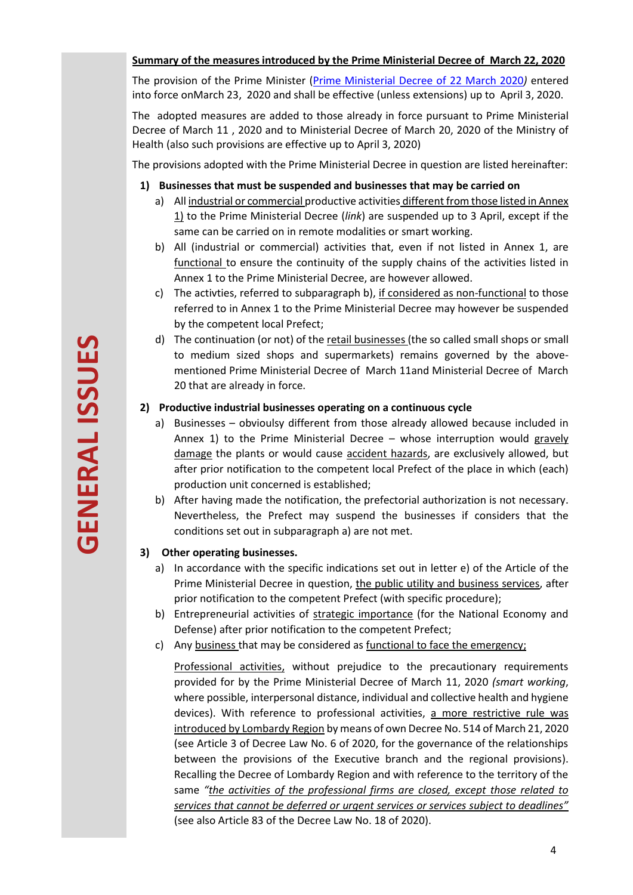## **Summary of the measures introduced by the Prime Ministerial Decree of March 22, 2020**

The provision of the Prime Minister [\(Prime Ministerial Decree of](http://www.legalitax.it/UserFiles/files/Newsletter/Coronavirus/DPCM_22%20marzo%202020.pdf) 22 March 2020*)* entered into force onMarch 23, 2020 and shall be effective (unless extensions) up to April 3, 2020.

The adopted measures are added to those already in force pursuant to Prime Ministerial Decree of March 11 , 2020 and to Ministerial Decree of March 20, 2020 of the Ministry of Health (also such provisions are effective up to April 3, 2020)

The provisions adopted with the Prime Ministerial Decree in question are listed hereinafter:

## **1) Businesses that must be suspended and businesses that may be carried on**

- a) All industrial or commercial productive activities different from those listed in Annex 1) to the Prime Ministerial Decree (*link*) are suspended up to 3 April, except if the same can be carried on in remote modalities or smart working.
- b) All (industrial or commercial) activities that, even if not listed in Annex 1, are functional to ensure the continuity of the supply chains of the activities listed in Annex 1 to the Prime Ministerial Decree, are however allowed.
- c) The activties, referred to subparagraph b), if considered as non-functional to those referred to in Annex 1 to the Prime Ministerial Decree may however be suspended by the competent local Prefect;
- d) The continuation (or not) of the retail businesses (the so called small shops or small to medium sized shops and supermarkets) remains governed by the abovementioned Prime Ministerial Decree of March 11and Ministerial Decree of March 20 that are already in force.

# **2) Productive industrial businesses operating on a continuous cycle**

- a) Businesses obvioulsy different from those already allowed because included in Annex 1) to the Prime Ministerial Decree – whose interruption would gravely damage the plants or would cause accident hazards, are exclusively allowed, but after prior notification to the competent local Prefect of the place in which (each) production unit concerned is established;
- b) After having made the notification, the prefectorial authorization is not necessary. Nevertheless, the Prefect may suspend the businesses if considers that the conditions set out in subparagraph a) are not met.

# **3) Other operating businesses.**

- a) In accordance with the specific indications set out in letter e) of the Article of the Prime Ministerial Decree in question, the public utility and business services, after prior notification to the competent Prefect (with specific procedure);
- b) Entrepreneurial activities of strategic importance (for the National Economy and Defense) after prior notification to the competent Prefect;
- c) Any business that may be considered as functional to face the emergency;

Professional activities, without prejudice to the precautionary requirements provided for by the Prime Ministerial Decree of March 11, 2020 *(smart working*, where possible, interpersonal distance, individual and collective health and hygiene devices). With reference to professional activities, a more restrictive rule was introduced by Lombardy Region by means of own Decree No. 514 of March 21, 2020 (see Article 3 of Decree Law No. 6 of 2020, for the governance of the relationships between the provisions of the Executive branch and the regional provisions). Recalling the Decree of Lombardy Region and with reference to the territory of the same *"the activities of the professional firms are closed, except those related to services that cannot be deferred or urgent services or services subject to deadlines"* (see also Article 83 of the Decree Law No. 18 of 2020).